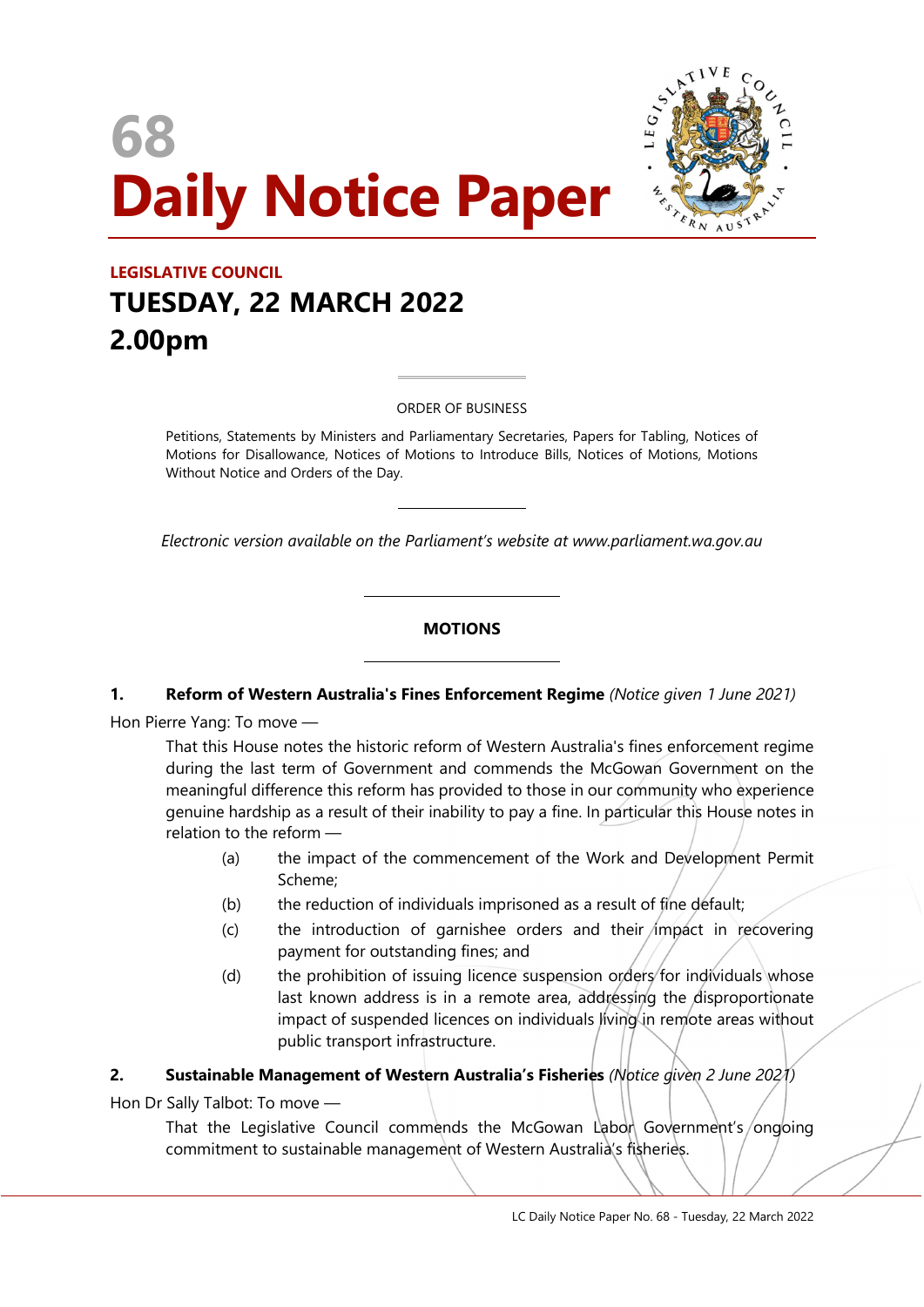# 68 Daily Notice Paper



# LEGISLATIVE COUNCIL TUESDAY, 22 MARCH 2022 2.00pm

ORDER OF BUSINESS

 $\overline{a}$ 

 $\overline{a}$ 

 $\overline{a}$ 

 $\overline{a}$ 

Petitions, Statements by Ministers and Parliamentary Secretaries, Papers for Tabling, Notices of Motions for Disallowance, Notices of Motions to Introduce Bills, Notices of Motions, Motions Without Notice and Orders of the Day.

Electronic version available on the Parliament's website at www.parliament.wa.gov.au

#### **MOTIONS**

#### 1. Reform of Western Australia's Fines Enforcement Regime (Notice given 1 June 2021)

Hon Pierre Yang: To move —

That this House notes the historic reform of Western Australia's fines enforcement regime during the last term of Government and commends the McGowan Government on the meaningful difference this reform has provided to those in our community who experience genuine hardship as a result of their inability to pay a fine. In particular this House notes in relation to the reform —

- (a) the impact of the commencement of the Work and Development Permit Scheme;
- (b) the reduction of individuals imprisoned as a result of fine default;
- $(c)$  the introduction of garnishee orders and their impact in recovering payment for outstanding fines; and
- (d) the prohibition of issuing licence suspension orders for individuals whose last known address is in a remote area, addressing the disproportionate impact of suspended licences on individuals living in remote areas without public transport infrastructure.

#### 2. Sustainable Management of Western Australia's Fisheries (Notice diven 2 June 2021)

Hon Dr Sally Talbot: To move —

That the Legislative Council commends the McGowan Labon Government's/ongoing commitment to sustainable management of Western Australia's fisheries.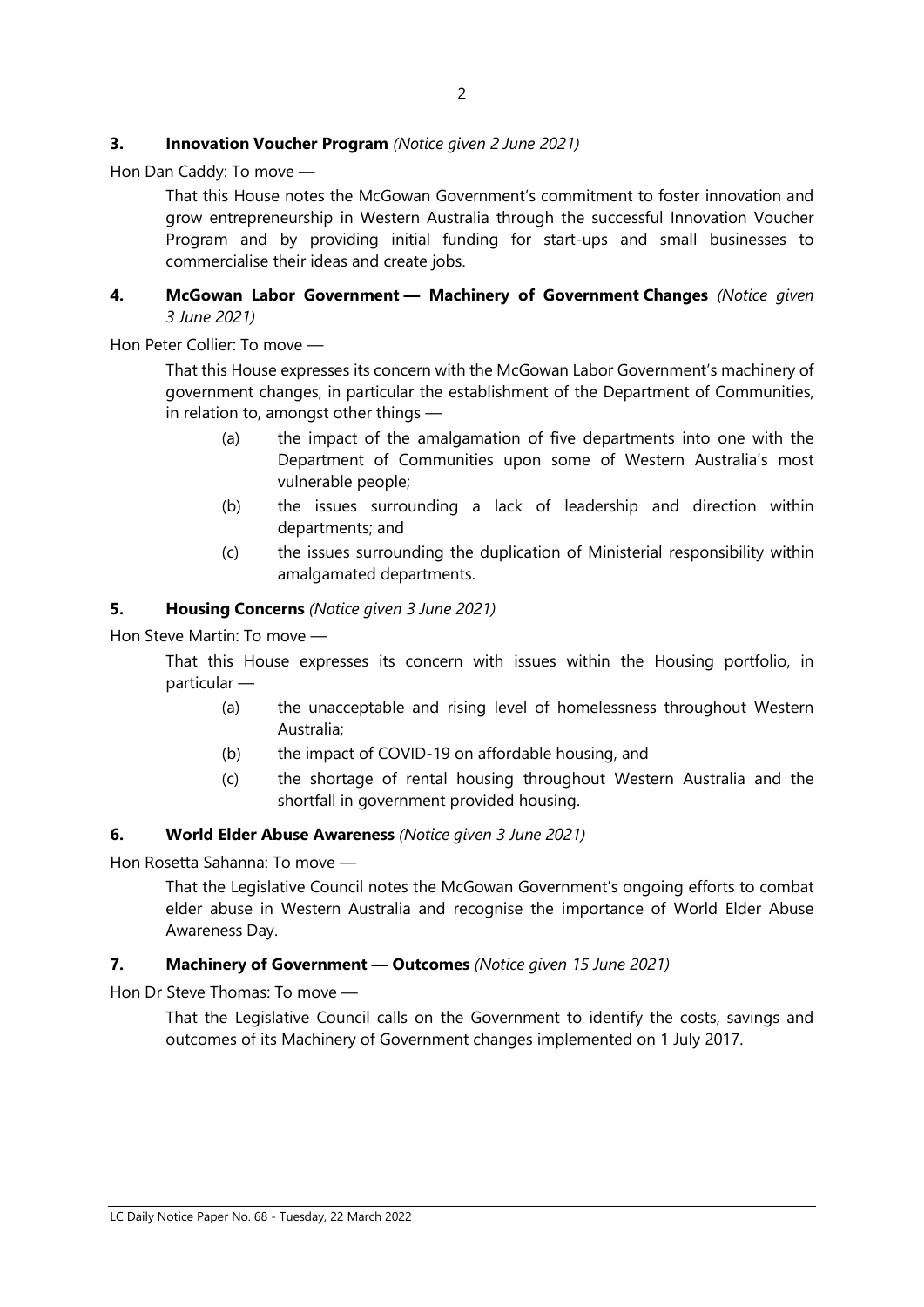# **3.** Innovation Voucher Program (Notice given 2 June 2021)

Hon Dan Caddy: To move —

That this House notes the McGowan Government's commitment to foster innovation and grow entrepreneurship in Western Australia through the successful Innovation Voucher Program and by providing initial funding for start-ups and small businesses to commercialise their ideas and create jobs.

#### 4. McGowan Labor Government - Machinery of Government Changes (Notice given 3 June 2021)

Hon Peter Collier: To move —

That this House expresses its concern with the McGowan Labor Government's machinery of government changes, in particular the establishment of the Department of Communities, in relation to, amongst other things —

- (a) the impact of the amalgamation of five departments into one with the Department of Communities upon some of Western Australia's most vulnerable people;
- (b) the issues surrounding a lack of leadership and direction within departments; and
- (c) the issues surrounding the duplication of Ministerial responsibility within amalgamated departments.

#### 5. Housing Concerns (Notice given 3 June 2021)

Hon Steve Martin: To move —

That this House expresses its concern with issues within the Housing portfolio, in particular —

- (a) the unacceptable and rising level of homelessness throughout Western Australia;
- (b) the impact of COVID-19 on affordable housing, and
- (c) the shortage of rental housing throughout Western Australia and the shortfall in government provided housing.

#### 6. World Elder Abuse Awareness (Notice given 3 June 2021)

Hon Rosetta Sahanna: To move —

That the Legislative Council notes the McGowan Government's ongoing efforts to combat elder abuse in Western Australia and recognise the importance of World Elder Abuse Awareness Day.

#### 7. Machinery of Government - Outcomes (Notice given 15 June 2021)

Hon Dr Steve Thomas: To move —

That the Legislative Council calls on the Government to identify the costs, savings and outcomes of its Machinery of Government changes implemented on 1 July 2017.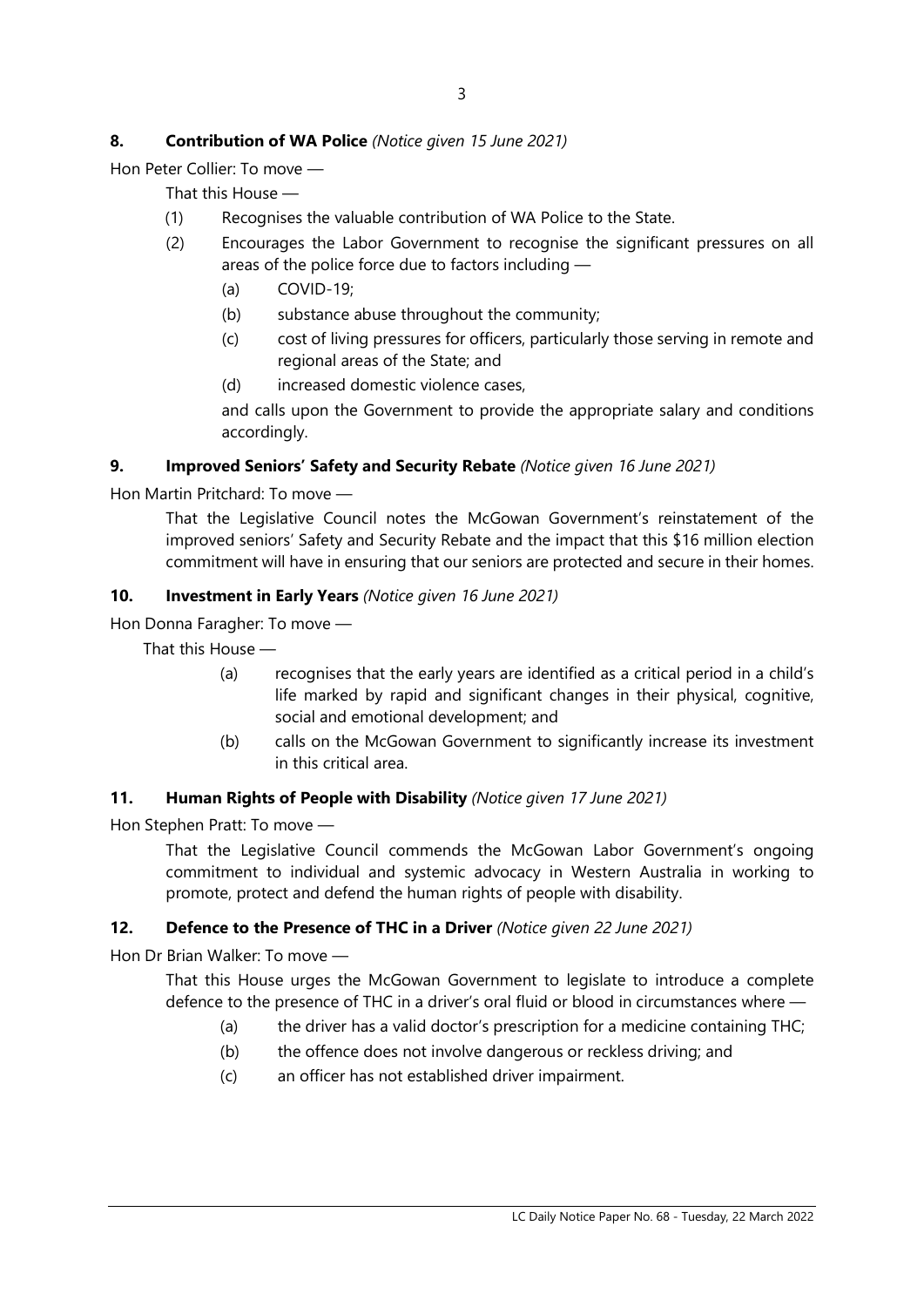# 8. Contribution of WA Police (Notice given 15 June 2021)

Hon Peter Collier: To move —

That this House —

- (1) Recognises the valuable contribution of WA Police to the State.
- (2) Encourages the Labor Government to recognise the significant pressures on all areas of the police force due to factors including —
	- (a) COVID-19;
	- (b) substance abuse throughout the community;
	- (c) cost of living pressures for officers, particularly those serving in remote and regional areas of the State; and
	- (d) increased domestic violence cases,

and calls upon the Government to provide the appropriate salary and conditions accordingly.

# 9. Improved Seniors' Safety and Security Rebate (Notice given 16 June 2021)

Hon Martin Pritchard: To move —

That the Legislative Council notes the McGowan Government's reinstatement of the improved seniors' Safety and Security Rebate and the impact that this \$16 million election commitment will have in ensuring that our seniors are protected and secure in their homes.

# 10. Investment in Early Years (Notice given 16 June 2021)

Hon Donna Faragher: To move —

That this House —

- (a) recognises that the early years are identified as a critical period in a child's life marked by rapid and significant changes in their physical, cognitive, social and emotional development; and
- (b) calls on the McGowan Government to significantly increase its investment in this critical area.

#### 11. Human Rights of People with Disability (Notice given 17 June 2021)

Hon Stephen Pratt: To move —

That the Legislative Council commends the McGowan Labor Government's ongoing commitment to individual and systemic advocacy in Western Australia in working to promote, protect and defend the human rights of people with disability.

# 12. Defence to the Presence of THC in a Driver (Notice given 22 June 2021)

Hon Dr Brian Walker: To move —

That this House urges the McGowan Government to legislate to introduce a complete defence to the presence of THC in a driver's oral fluid or blood in circumstances where —

- (a) the driver has a valid doctor's prescription for a medicine containing THC;
- (b) the offence does not involve dangerous or reckless driving; and
- (c) an officer has not established driver impairment.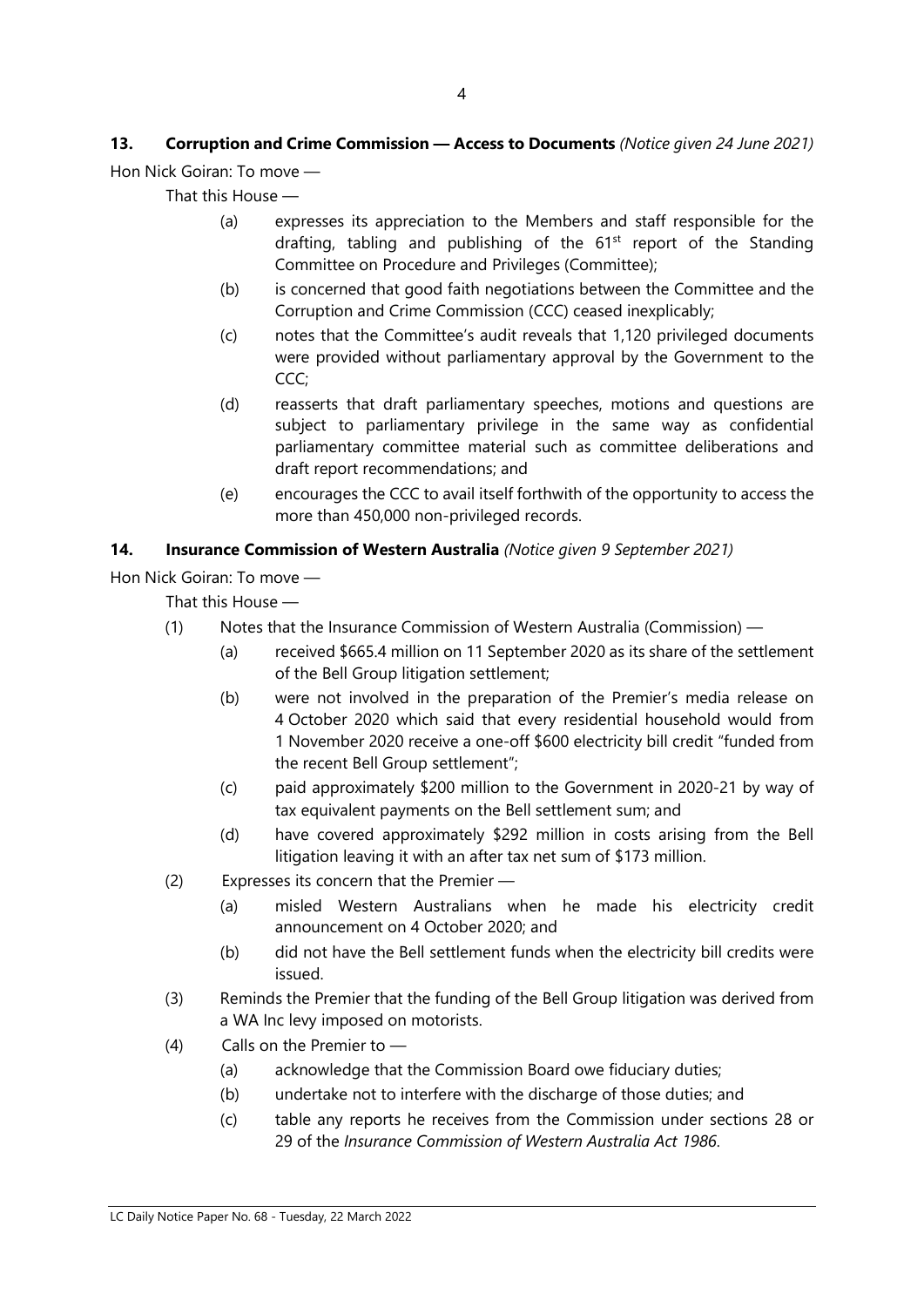# 13. Corruption and Crime Commission - Access to Documents (Notice given 24 June 2021) Hon Nick Goiran: To move —

That this House —

- (a) expresses its appreciation to the Members and staff responsible for the drafting, tabling and publishing of the  $61<sup>st</sup>$  report of the Standing Committee on Procedure and Privileges (Committee);
- (b) is concerned that good faith negotiations between the Committee and the Corruption and Crime Commission (CCC) ceased inexplicably;
- (c) notes that the Committee's audit reveals that 1,120 privileged documents were provided without parliamentary approval by the Government to the CCC;
- (d) reasserts that draft parliamentary speeches, motions and questions are subject to parliamentary privilege in the same way as confidential parliamentary committee material such as committee deliberations and draft report recommendations; and
- (e) encourages the CCC to avail itself forthwith of the opportunity to access the more than 450,000 non-privileged records.

# 14. Insurance Commission of Western Australia (Notice given 9 September 2021)

Hon Nick Goiran: To move —

That this House —

- (1) Notes that the Insurance Commission of Western Australia (Commission)
	- (a) received \$665.4 million on 11 September 2020 as its share of the settlement of the Bell Group litigation settlement;
	- (b) were not involved in the preparation of the Premier's media release on 4 October 2020 which said that every residential household would from 1 November 2020 receive a one-off \$600 electricity bill credit "funded from the recent Bell Group settlement";
	- (c) paid approximately \$200 million to the Government in 2020-21 by way of tax equivalent payments on the Bell settlement sum; and
	- (d) have covered approximately \$292 million in costs arising from the Bell litigation leaving it with an after tax net sum of \$173 million.
- (2) Expresses its concern that the Premier
	- (a) misled Western Australians when he made his electricity credit announcement on 4 October 2020; and
	- (b) did not have the Bell settlement funds when the electricity bill credits were issued.
- (3) Reminds the Premier that the funding of the Bell Group litigation was derived from a WA Inc levy imposed on motorists.
- (4) Calls on the Premier to
	- (a) acknowledge that the Commission Board owe fiduciary duties;
	- (b) undertake not to interfere with the discharge of those duties; and
	- (c) table any reports he receives from the Commission under sections 28 or 29 of the Insurance Commission of Western Australia Act 1986.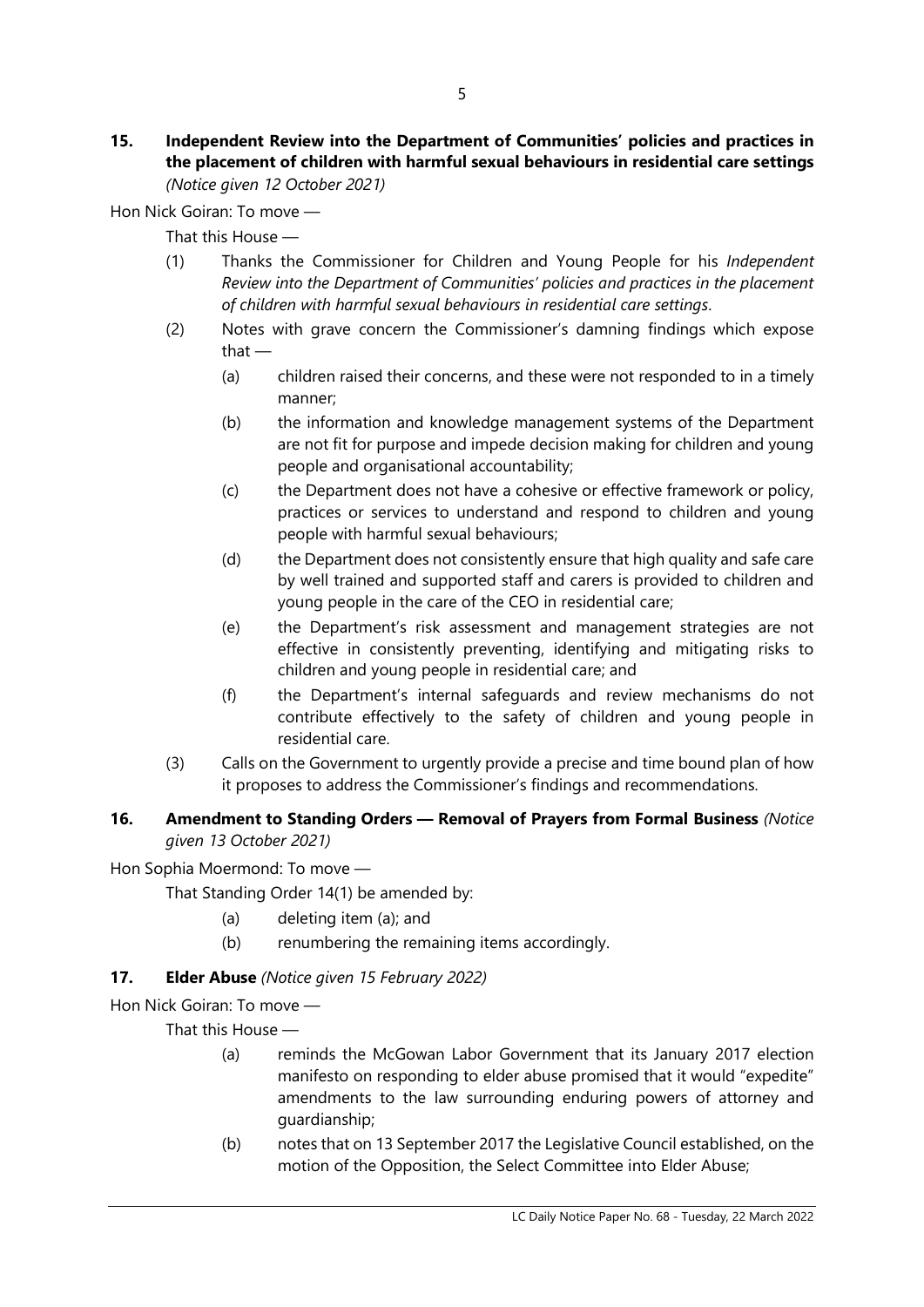#### 15. Independent Review into the Department of Communities' policies and practices in the placement of children with harmful sexual behaviours in residential care settings (Notice given 12 October 2021)

Hon Nick Goiran: To move —

That this House —

- (1) Thanks the Commissioner for Children and Young People for his Independent Review into the Department of Communities' policies and practices in the placement of children with harmful sexual behaviours in residential care settings.
- (2) Notes with grave concern the Commissioner's damning findings which expose that —
	- (a) children raised their concerns, and these were not responded to in a timely manner;
	- (b) the information and knowledge management systems of the Department are not fit for purpose and impede decision making for children and young people and organisational accountability;
	- (c) the Department does not have a cohesive or effective framework or policy, practices or services to understand and respond to children and young people with harmful sexual behaviours;
	- (d) the Department does not consistently ensure that high quality and safe care by well trained and supported staff and carers is provided to children and young people in the care of the CEO in residential care;
	- (e) the Department's risk assessment and management strategies are not effective in consistently preventing, identifying and mitigating risks to children and young people in residential care; and
	- (f) the Department's internal safeguards and review mechanisms do not contribute effectively to the safety of children and young people in residential care.
- (3) Calls on the Government to urgently provide a precise and time bound plan of how it proposes to address the Commissioner's findings and recommendations.

# 16. Amendment to Standing Orders - Removal of Prayers from Formal Business (Notice given 13 October 2021)

Hon Sophia Moermond: To move —

That Standing Order 14(1) be amended by:

- (a) deleting item (a); and
- (b) renumbering the remaining items accordingly.

# 17. **Elder Abuse** (Notice given 15 February 2022)

Hon Nick Goiran: To move —

That this House —

- (a) reminds the McGowan Labor Government that its January 2017 election manifesto on responding to elder abuse promised that it would "expedite" amendments to the law surrounding enduring powers of attorney and guardianship;
- (b) notes that on 13 September 2017 the Legislative Council established, on the motion of the Opposition, the Select Committee into Elder Abuse;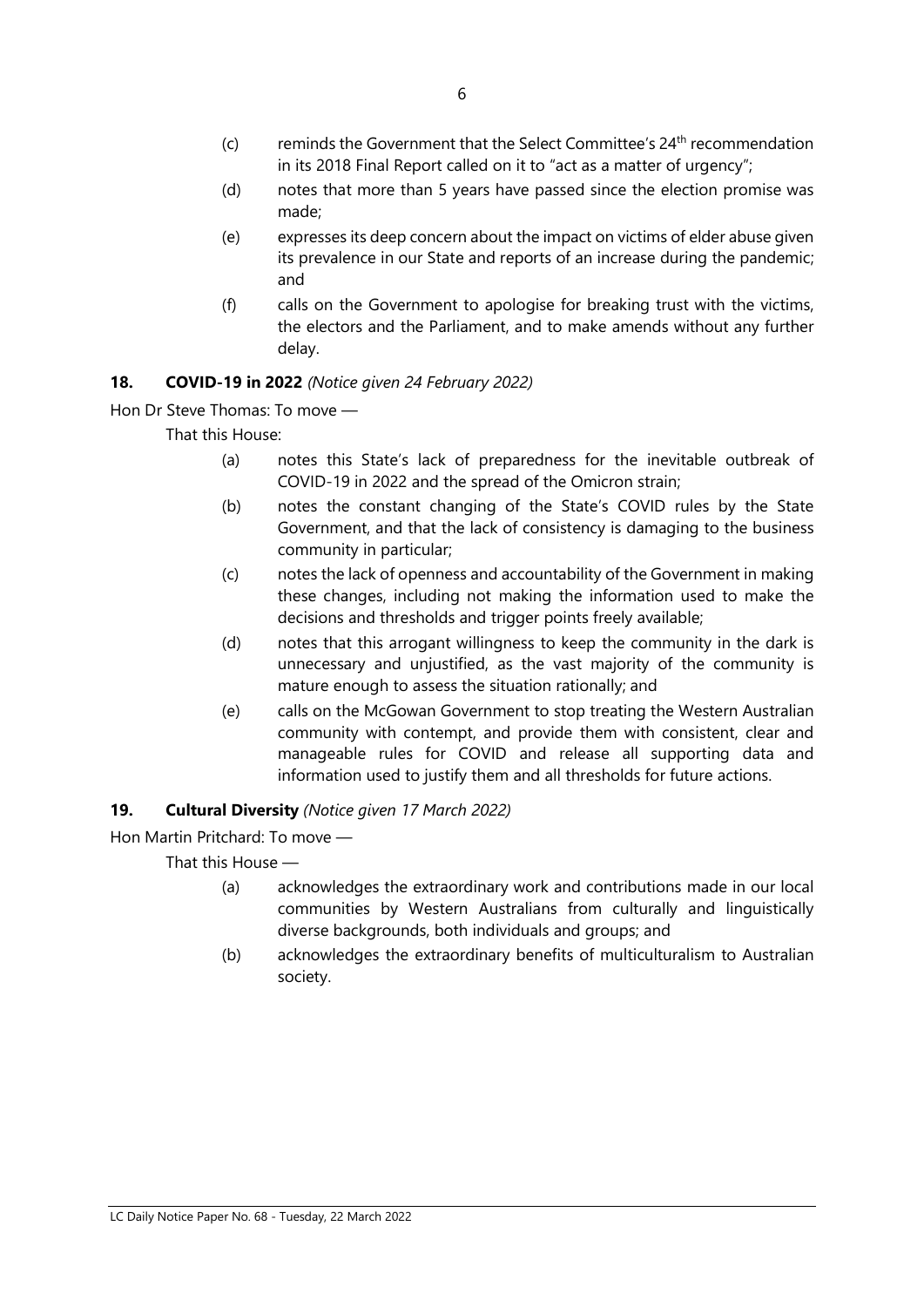- $(c)$  reminds the Government that the Select Committee's  $24<sup>th</sup>$  recommendation in its 2018 Final Report called on it to "act as a matter of urgency";
- (d) notes that more than 5 years have passed since the election promise was made;
- (e) expresses its deep concern about the impact on victims of elder abuse given its prevalence in our State and reports of an increase during the pandemic; and
- (f) calls on the Government to apologise for breaking trust with the victims, the electors and the Parliament, and to make amends without any further delay.

# 18. COVID-19 in 2022 (Notice given 24 February 2022)

Hon Dr Steve Thomas: To move —

That this House:

- (a) notes this State's lack of preparedness for the inevitable outbreak of COVID-19 in 2022 and the spread of the Omicron strain;
- (b) notes the constant changing of the State's COVID rules by the State Government, and that the lack of consistency is damaging to the business community in particular;
- (c) notes the lack of openness and accountability of the Government in making these changes, including not making the information used to make the decisions and thresholds and trigger points freely available;
- (d) notes that this arrogant willingness to keep the community in the dark is unnecessary and unjustified, as the vast majority of the community is mature enough to assess the situation rationally; and
- (e) calls on the McGowan Government to stop treating the Western Australian community with contempt, and provide them with consistent, clear and manageable rules for COVID and release all supporting data and information used to justify them and all thresholds for future actions.

# 19. Cultural Diversity (Notice given 17 March 2022)

Hon Martin Pritchard: To move —

That this House —

- (a) acknowledges the extraordinary work and contributions made in our local communities by Western Australians from culturally and linguistically diverse backgrounds, both individuals and groups; and
- (b) acknowledges the extraordinary benefits of multiculturalism to Australian society.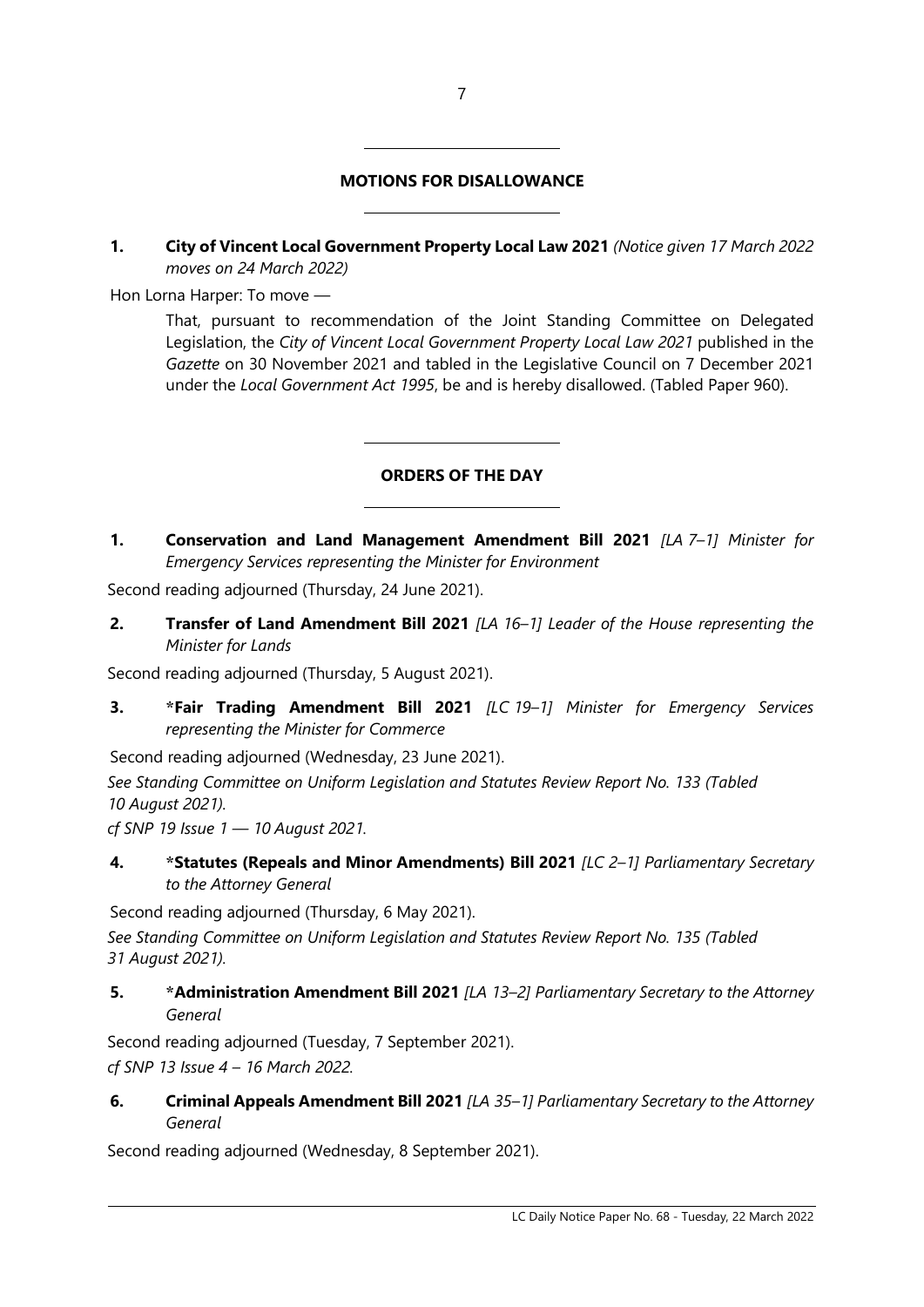# MOTIONS FOR DISALLOWANCE

 $\overline{a}$ 

 $\overline{a}$ 

 $\overline{a}$ 

 $\overline{a}$ 

1. City of Vincent Local Government Property Local Law 2021 (Notice given 17 March 2022 moves on 24 March 2022)

Hon Lorna Harper: To move —

That, pursuant to recommendation of the Joint Standing Committee on Delegated Legislation, the City of Vincent Local Government Property Local Law 2021 published in the Gazette on 30 November 2021 and tabled in the Legislative Council on 7 December 2021 under the Local Government Act 1995, be and is hereby disallowed. (Tabled Paper 960).

# ORDERS OF THE DAY

1. Conservation and Land Management Amendment Bill 2021 [LA 7-1] Minister for Emergency Services representing the Minister for Environment

Second reading adjourned (Thursday, 24 June 2021).

2. Transfer of Land Amendment Bill 2021 [LA 16-1] Leader of the House representing the Minister for Lands

Second reading adjourned (Thursday, 5 August 2021).

3. \*Fair Trading Amendment Bill 2021 [LC 19-1] Minister for Emergency Services representing the Minister for Commerce

Second reading adjourned (Wednesday, 23 June 2021).

See Standing Committee on Uniform Legislation and Statutes Review Report No. 133 (Tabled 10 August 2021).

cf SNP 19 Issue  $1 - 10$  August 2021.

4. \*Statutes (Repeals and Minor Amendments) Bill 2021 [LC 2-1] Parliamentary Secretary to the Attorney General

Second reading adjourned (Thursday, 6 May 2021).

See Standing Committee on Uniform Legislation and Statutes Review Report No. 135 (Tabled 31 August 2021).

5. \* Administration Amendment Bill 2021 [LA 13-2] Parliamentary Secretary to the Attorney General

Second reading adjourned (Tuesday, 7 September 2021). cf SNP 13 Issue 4 – 16 March 2022.

6. Criminal Appeals Amendment Bill 2021 [LA 35-1] Parliamentary Secretary to the Attorney General

Second reading adjourned (Wednesday, 8 September 2021).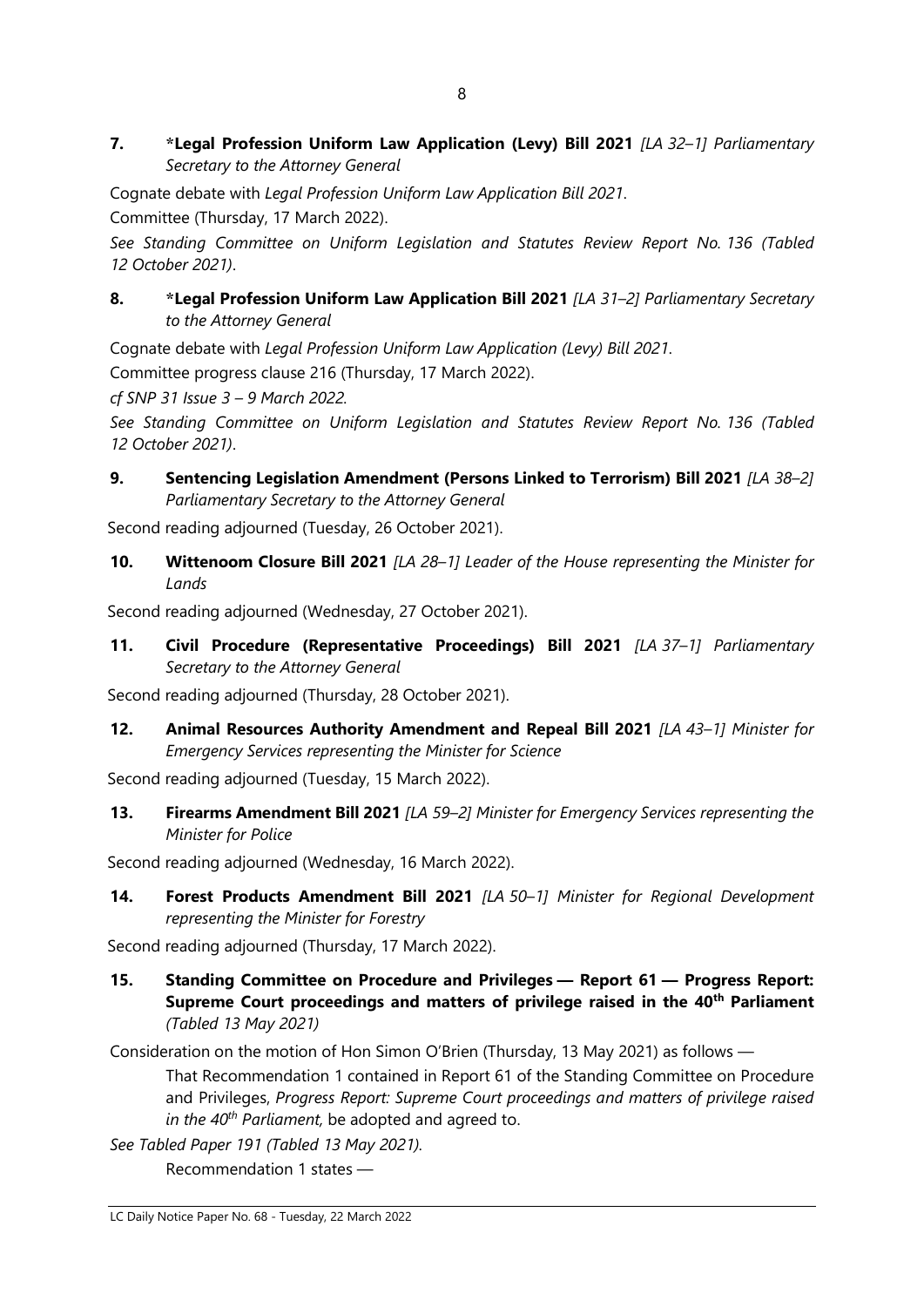7. \*Legal Profession Uniform Law Application (Levy) Bill 2021 [LA 32-1] Parliamentary Secretary to the Attorney General

Cognate debate with Legal Profession Uniform Law Application Bill 2021.

Committee (Thursday, 17 March 2022).

See Standing Committee on Uniform Legislation and Statutes Review Report No. 136 (Tabled 12 October 2021).

# 8. \*Legal Profession Uniform Law Application Bill 2021 [LA 31-2] Parliamentary Secretary to the Attorney General

Cognate debate with Legal Profession Uniform Law Application (Levy) Bill 2021. Committee progress clause 216 (Thursday, 17 March 2022).

cf SNP 31 Issue 3 – 9 March 2022.

See Standing Committee on Uniform Legislation and Statutes Review Report No. 136 (Tabled 12 October 2021).

9. Sentencing Legislation Amendment (Persons Linked to Terrorism) Bill 2021 [LA 38-2] Parliamentary Secretary to the Attorney General

Second reading adjourned (Tuesday, 26 October 2021).

10. Wittenoom Closure Bill 2021 [LA 28-1] Leader of the House representing the Minister for Lands

Second reading adjourned (Wednesday, 27 October 2021).

11. Civil Procedure (Representative Proceedings) Bill 2021 [LA 37-1] Parliamentary Secretary to the Attorney General

Second reading adjourned (Thursday, 28 October 2021).

12. Animal Resources Authority Amendment and Repeal Bill 2021 [LA 43-1] Minister for Emergency Services representing the Minister for Science

Second reading adjourned (Tuesday, 15 March 2022).

13. Firearms Amendment Bill 2021 [LA 59-2] Minister for Emergency Services representing the Minister for Police

Second reading adjourned (Wednesday, 16 March 2022).

14. Forest Products Amendment Bill 2021 [LA 50-1] Minister for Regional Development representing the Minister for Forestry

Second reading adjourned (Thursday, 17 March 2022).

15. Standing Committee on Procedure and Privileges — Report 61 — Progress Report: Supreme Court proceedings and matters of privilege raised in the 40<sup>th</sup> Parliament (Tabled 13 May 2021)

Consideration on the motion of Hon Simon O'Brien (Thursday, 13 May 2021) as follows —

That Recommendation 1 contained in Report 61 of the Standing Committee on Procedure and Privileges, Progress Report: Supreme Court proceedings and matters of privilege raised in the  $40^{th}$  Parliament, be adopted and agreed to.

See Tabled Paper 191 (Tabled 13 May 2021).

Recommendation 1 states —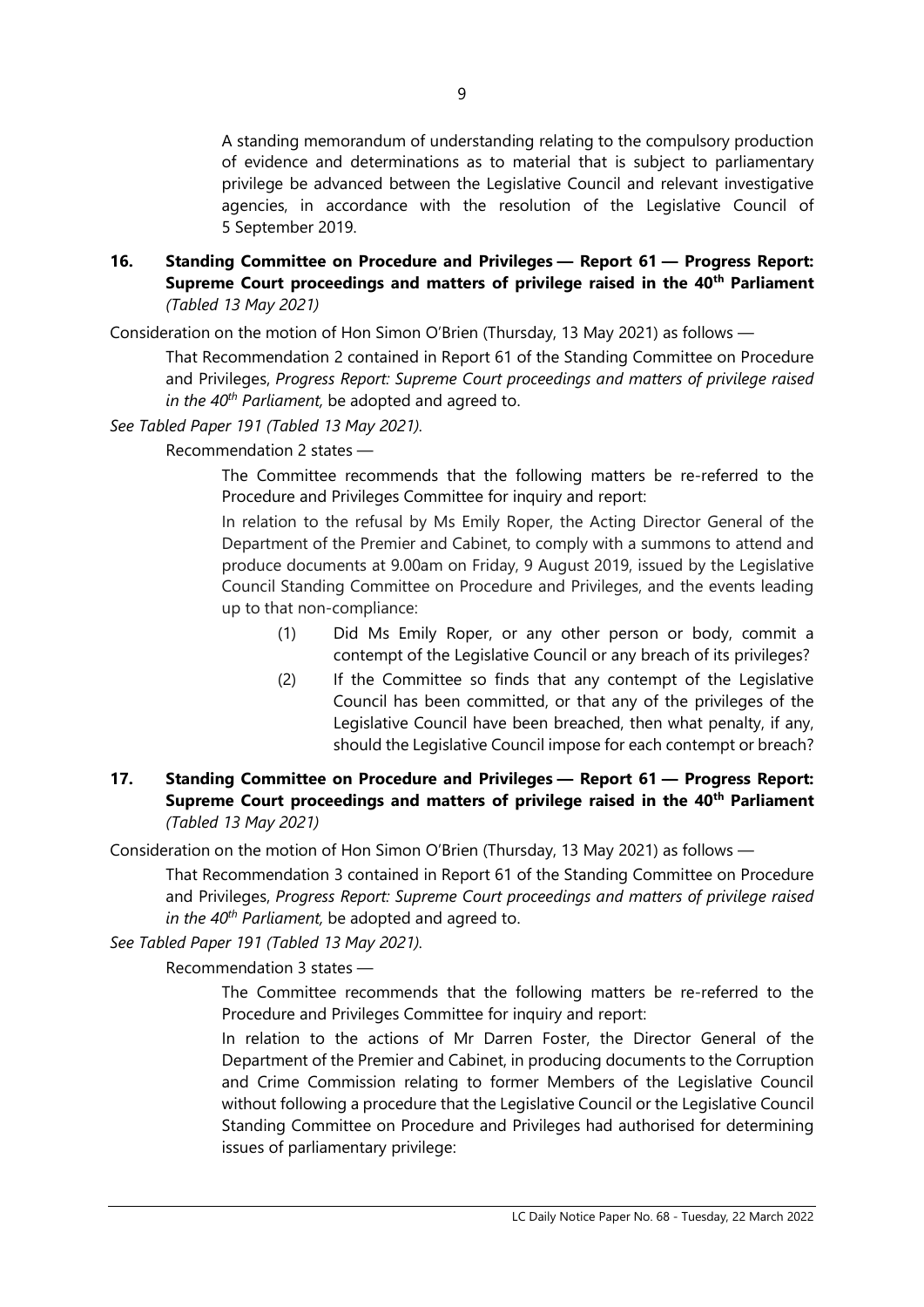A standing memorandum of understanding relating to the compulsory production of evidence and determinations as to material that is subject to parliamentary privilege be advanced between the Legislative Council and relevant investigative agencies, in accordance with the resolution of the Legislative Council of 5 September 2019.

#### 16. Standing Committee on Procedure and Privileges — Report 61 — Progress Report: Supreme Court proceedings and matters of privilege raised in the 40<sup>th</sup> Parliament (Tabled 13 May 2021)

Consideration on the motion of Hon Simon O'Brien (Thursday, 13 May 2021) as follows —

That Recommendation 2 contained in Report 61 of the Standing Committee on Procedure and Privileges, Progress Report: Supreme Court proceedings and matters of privilege raised in the  $40^{th}$  Parliament, be adopted and agreed to.

# See Tabled Paper 191 (Tabled 13 May 2021).

Recommendation 2 states —

The Committee recommends that the following matters be re-referred to the Procedure and Privileges Committee for inquiry and report:

In relation to the refusal by Ms Emily Roper, the Acting Director General of the Department of the Premier and Cabinet, to comply with a summons to attend and produce documents at 9.00am on Friday, 9 August 2019, issued by the Legislative Council Standing Committee on Procedure and Privileges, and the events leading up to that non-compliance:

- (1) Did Ms Emily Roper, or any other person or body, commit a contempt of the Legislative Council or any breach of its privileges?
- (2) If the Committee so finds that any contempt of the Legislative Council has been committed, or that any of the privileges of the Legislative Council have been breached, then what penalty, if any, should the Legislative Council impose for each contempt or breach?

# 17. Standing Committee on Procedure and Privileges — Report 61 — Progress Report: Supreme Court proceedings and matters of privilege raised in the 40<sup>th</sup> Parliament (Tabled 13 May 2021)

Consideration on the motion of Hon Simon O'Brien (Thursday, 13 May 2021) as follows —

That Recommendation 3 contained in Report 61 of the Standing Committee on Procedure and Privileges, Progress Report: Supreme Court proceedings and matters of privilege raised in the  $40^{th}$  Parliament, be adopted and agreed to.

See Tabled Paper 191 (Tabled 13 May 2021).

Recommendation 3 states —

The Committee recommends that the following matters be re-referred to the Procedure and Privileges Committee for inquiry and report:

In relation to the actions of Mr Darren Foster, the Director General of the Department of the Premier and Cabinet, in producing documents to the Corruption and Crime Commission relating to former Members of the Legislative Council without following a procedure that the Legislative Council or the Legislative Council Standing Committee on Procedure and Privileges had authorised for determining issues of parliamentary privilege: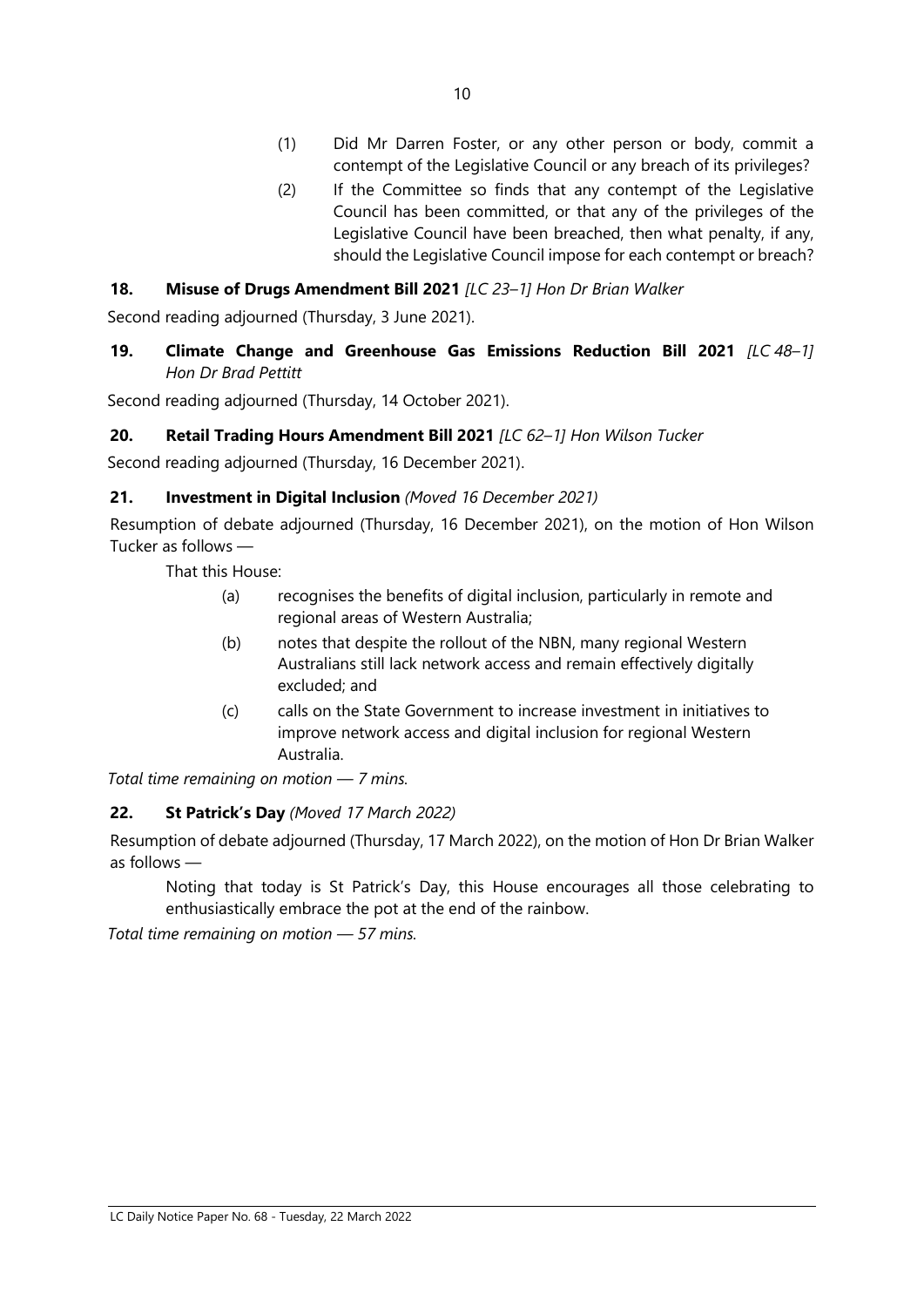- (1) Did Mr Darren Foster, or any other person or body, commit a contempt of the Legislative Council or any breach of its privileges?
- (2) If the Committee so finds that any contempt of the Legislative Council has been committed, or that any of the privileges of the Legislative Council have been breached, then what penalty, if any, should the Legislative Council impose for each contempt or breach?

# 18. Misuse of Drugs Amendment Bill 2021 [LC 23-1] Hon Dr Brian Walker

Second reading adjourned (Thursday, 3 June 2021).

19. Climate Change and Greenhouse Gas Emissions Reduction Bill 2021  $[LC 48-1]$ Hon Dr Brad Pettitt

Second reading adjourned (Thursday, 14 October 2021).

#### 20. Retail Trading Hours Amendment Bill 2021 [LC 62-1] Hon Wilson Tucker

Second reading adjourned (Thursday, 16 December 2021).

#### 21. Investment in Digital Inclusion (Moved 16 December 2021)

Resumption of debate adjourned (Thursday, 16 December 2021), on the motion of Hon Wilson Tucker as follows —

That this House:

- (a) recognises the benefits of digital inclusion, particularly in remote and regional areas of Western Australia;
- (b) notes that despite the rollout of the NBN, many regional Western Australians still lack network access and remain effectively digitally excluded; and
- (c) calls on the State Government to increase investment in initiatives to improve network access and digital inclusion for regional Western Australia.

Total time remaining on motion — 7 mins.

#### 22. St Patrick's Day (Moved 17 March 2022)

Resumption of debate adjourned (Thursday, 17 March 2022), on the motion of Hon Dr Brian Walker as follows —

Noting that today is St Patrick's Day, this House encourages all those celebrating to enthusiastically embrace the pot at the end of the rainbow.

Total time remaining on motion — 57 mins.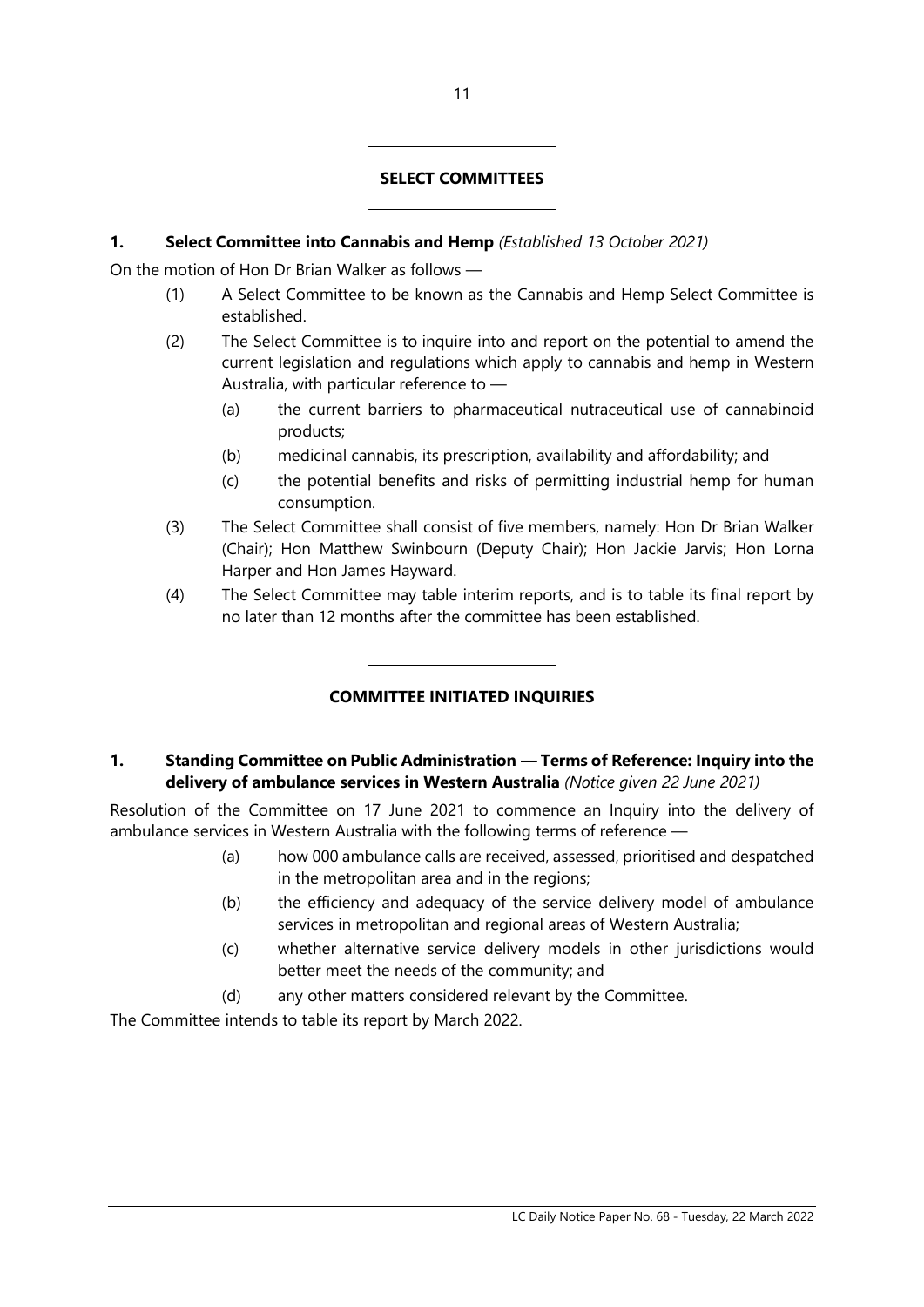#### SELECT COMMITTEES

#### 1. Select Committee into Cannabis and Hemp (Established 13 October 2021)

 $\overline{a}$ 

 $\overline{a}$ 

 $\overline{a}$ 

 $\overline{a}$ 

On the motion of Hon Dr Brian Walker as follows —

- (1) A Select Committee to be known as the Cannabis and Hemp Select Committee is established.
- (2) The Select Committee is to inquire into and report on the potential to amend the current legislation and regulations which apply to cannabis and hemp in Western Australia, with particular reference to —
	- (a) the current barriers to pharmaceutical nutraceutical use of cannabinoid products;
	- (b) medicinal cannabis, its prescription, availability and affordability; and
	- (c) the potential benefits and risks of permitting industrial hemp for human consumption.
- (3) The Select Committee shall consist of five members, namely: Hon Dr Brian Walker (Chair); Hon Matthew Swinbourn (Deputy Chair); Hon Jackie Jarvis; Hon Lorna Harper and Hon James Hayward.
- (4) The Select Committee may table interim reports, and is to table its final report by no later than 12 months after the committee has been established.

#### COMMITTEE INITIATED INQUIRIES

# 1. Standing Committee on Public Administration — Terms of Reference: Inquiry into the delivery of ambulance services in Western Australia (Notice given 22 June 2021)

Resolution of the Committee on 17 June 2021 to commence an Inquiry into the delivery of ambulance services in Western Australia with the following terms of reference —

- (a) how 000 ambulance calls are received, assessed, prioritised and despatched in the metropolitan area and in the regions;
- (b) the efficiency and adequacy of the service delivery model of ambulance services in metropolitan and regional areas of Western Australia;
- (c) whether alternative service delivery models in other jurisdictions would better meet the needs of the community; and
- (d) any other matters considered relevant by the Committee.

The Committee intends to table its report by March 2022.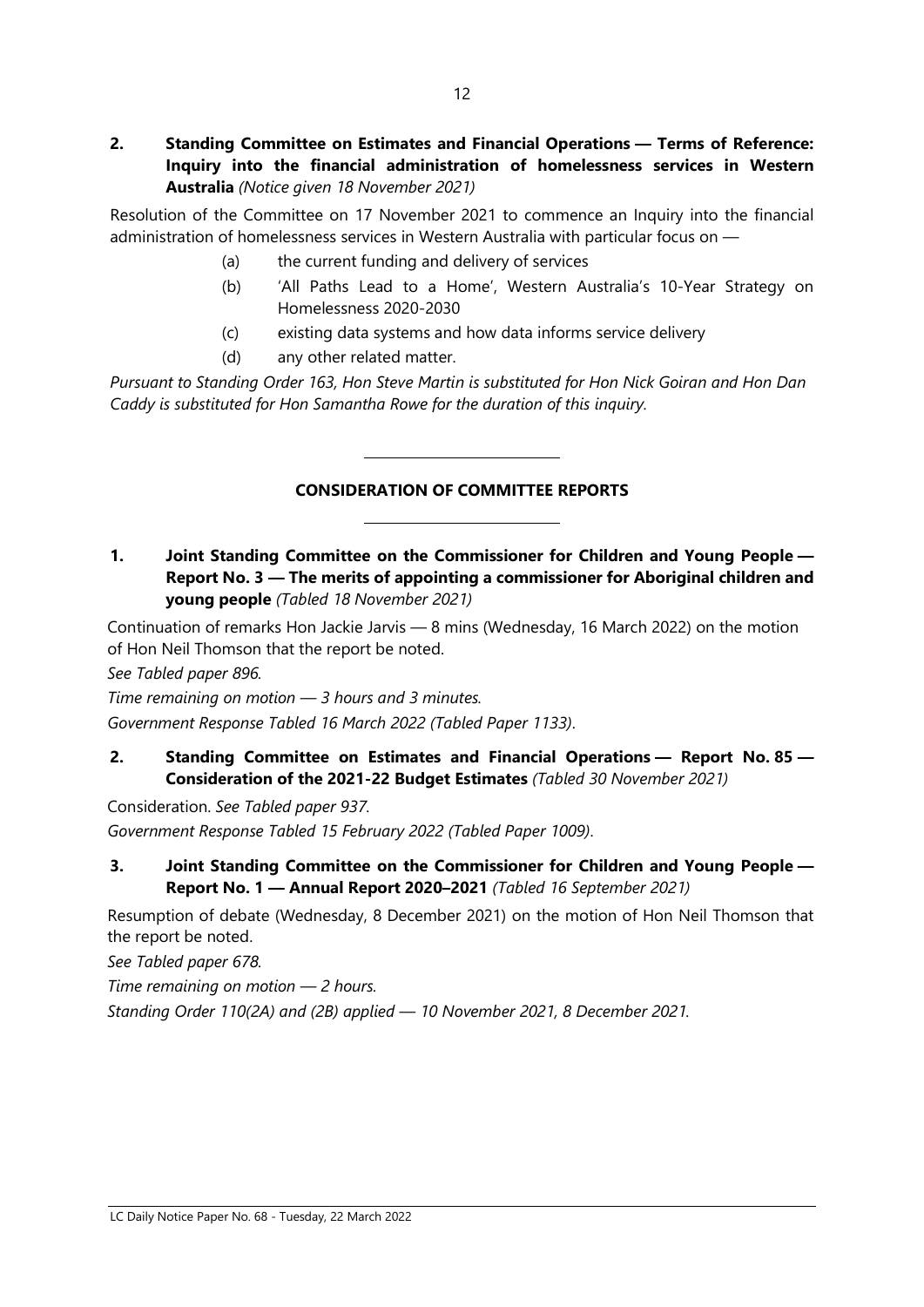Resolution of the Committee on 17 November 2021 to commence an Inquiry into the financial administration of homelessness services in Western Australia with particular focus on —

- (a) the current funding and delivery of services
- (b) 'All Paths Lead to a Home', Western Australia's 10-Year Strategy on Homelessness 2020-2030
- (c) existing data systems and how data informs service delivery
- (d) any other related matter.

 $\overline{a}$ 

 $\overline{a}$ 

Pursuant to Standing Order 163, Hon Steve Martin is substituted for Hon Nick Goiran and Hon Dan Caddy is substituted for Hon Samantha Rowe for the duration of this inquiry.

# CONSIDERATION OF COMMITTEE REPORTS

1. Joint Standing Committee on the Commissioner for Children and Young People — Report No. 3 — The merits of appointing a commissioner for Aboriginal children and young people (Tabled 18 November 2021)

Continuation of remarks Hon Jackie Jarvis — 8 mins (Wednesday, 16 March 2022) on the motion of Hon Neil Thomson that the report be noted.

See Tabled paper 896.

Time remaining on motion — 3 hours and 3 minutes. Government Response Tabled 16 March 2022 (Tabled Paper 1133).

2. Standing Committee on Estimates and Financial Operations — Report No. 85 — Consideration of the 2021-22 Budget Estimates (Tabled 30 November 2021)

Consideration. See Tabled paper 937. Government Response Tabled 15 February 2022 (Tabled Paper 1009).

3. Joint Standing Committee on the Commissioner for Children and Young People — Report No. 1 — Annual Report 2020–2021 (Tabled 16 September 2021)

Resumption of debate (Wednesday, 8 December 2021) on the motion of Hon Neil Thomson that the report be noted.

See Tabled paper 678.

Time remaining on motion  $-2$  hours.

Standing Order 110(2A) and (2B) applied — 10 November 2021, 8 December 2021.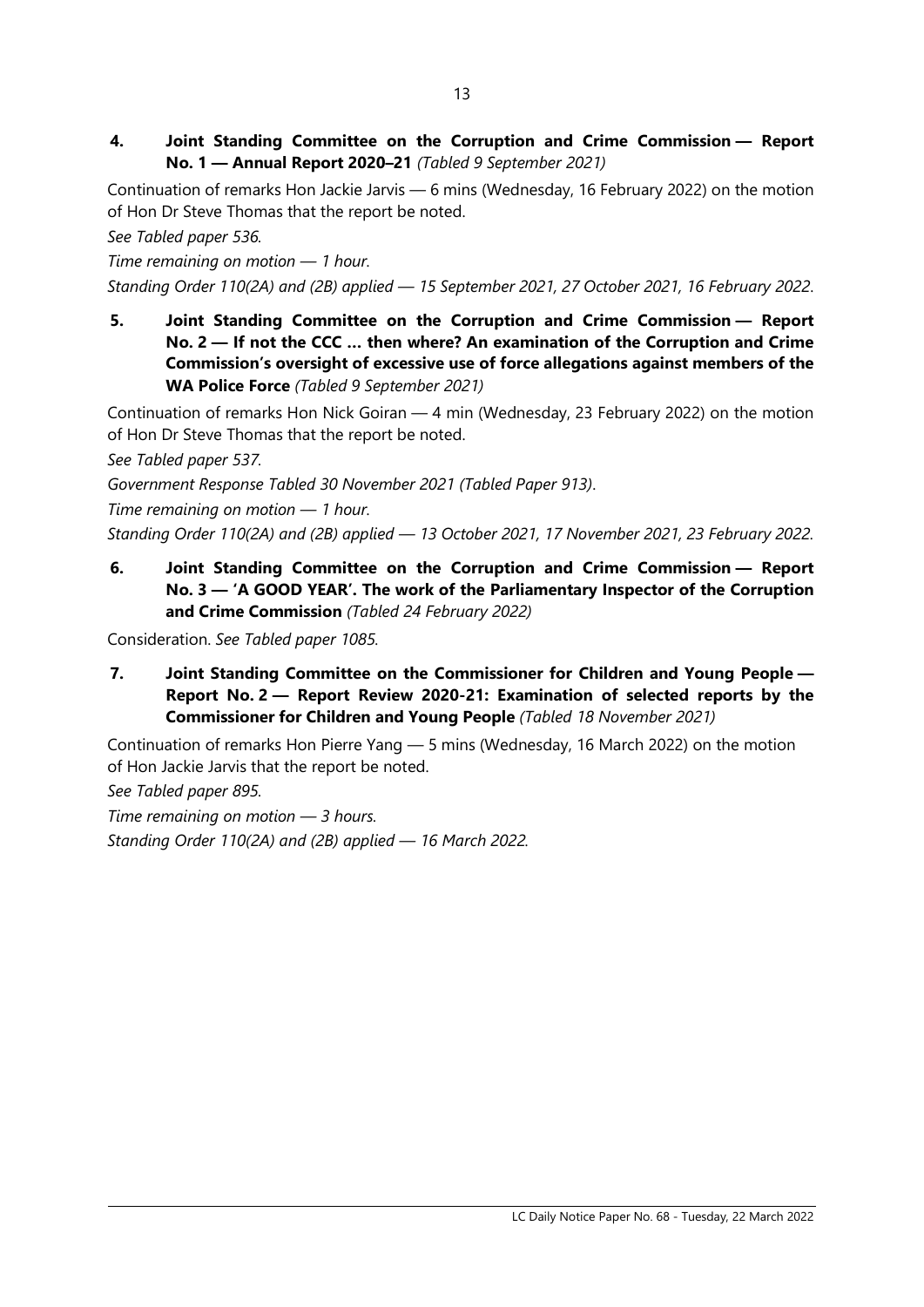4. Joint Standing Committee on the Corruption and Crime Commission — Report No. 1 — Annual Report 2020–21 (Tabled 9 September 2021)

Continuation of remarks Hon Jackie Jarvis — 6 mins (Wednesday, 16 February 2022) on the motion of Hon Dr Steve Thomas that the report be noted.

See Tabled paper 536.

Time remaining on motion — 1 hour.

- Standing Order 110(2A) and (2B) applied 15 September 2021, 27 October 2021, 16 February 2022.
- 5. Joint Standing Committee on the Corruption and Crime Commission Report No. 2 — If not the CCC … then where? An examination of the Corruption and Crime Commission's oversight of excessive use of force allegations against members of the WA Police Force (Tabled 9 September 2021)

Continuation of remarks Hon Nick Goiran — 4 min (Wednesday, 23 February 2022) on the motion of Hon Dr Steve Thomas that the report be noted.

See Tabled paper 537.

Government Response Tabled 30 November 2021 (Tabled Paper 913).

Time remaining on motion — 1 hour.

Standing Order 110(2A) and (2B) applied — 13 October 2021, 17 November 2021, 23 February 2022.

6. Joint Standing Committee on the Corruption and Crime Commission — Report No. 3 — 'A GOOD YEAR'. The work of the Parliamentary Inspector of the Corruption and Crime Commission (Tabled 24 February 2022)

Consideration. See Tabled paper 1085.

7. Joint Standing Committee on the Commissioner for Children and Young People — Report No. 2 — Report Review 2020-21: Examination of selected reports by the Commissioner for Children and Young People (Tabled 18 November 2021)

Continuation of remarks Hon Pierre Yang — 5 mins (Wednesday, 16 March 2022) on the motion of Hon Jackie Jarvis that the report be noted.

See Tabled paper 895.

Time remaining on motion  $-$  3 hours. Standing Order 110(2A) and (2B) applied — 16 March 2022.